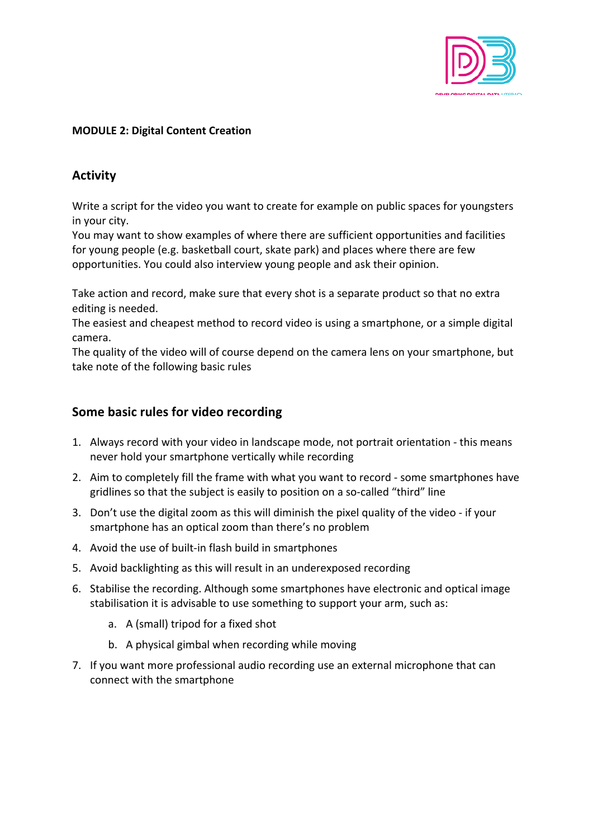

## **MODULE 2: Digital Content Creation**

# **Activity**

Write a script for the video you want to create for example on public spaces for youngsters in your city.

You may want to show examples of where there are sufficient opportunities and facilities for young people (e.g. basketball court, skate park) and places where there are few opportunities. You could also interview young people and ask their opinion.

Take action and record, make sure that every shot is a separate product so that no extra editing is needed.

The easiest and cheapest method to record video is using a smartphone, or a simple digital camera.

The quality of the video will of course depend on the camera lens on your smartphone, but take note of the following basic rules

# **Some basic rules for video recording**

- 1. Always record with your video in landscape mode, not portrait orientation this means never hold your smartphone vertically while recording
- 2. Aim to completely fill the frame with what you want to record some smartphones have gridlines so that the subject is easily to position on a so-called "third" line
- 3. Don't use the digital zoom as this will diminish the pixel quality of the video if your smartphone has an optical zoom than there's no problem
- 4. Avoid the use of built-in flash build in smartphones
- 5. Avoid backlighting as this will result in an underexposed recording
- 6. Stabilise the recording. Although some smartphones have electronic and optical image stabilisation it is advisable to use something to support your arm, such as:
	- a. A (small) tripod for a fixed shot
	- b. A physical gimbal when recording while moving
- 7. If you want more professional audio recording use an external microphone that can connect with the smartphone